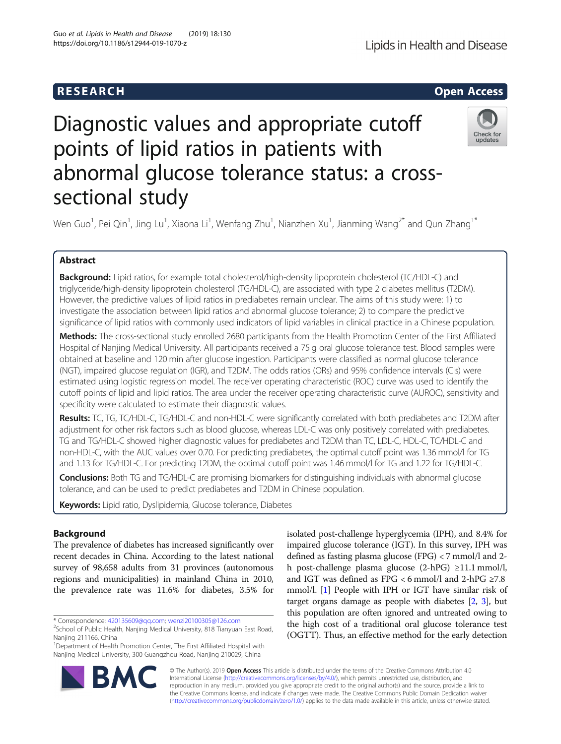# R E S EAR CH Open Access

Lipids in Health and Disease

# Diagnostic values and appropriate cutoff points of lipid ratios in patients with abnormal glucose tolerance status: a crosssectional study



Wen Guo $^1$ , Pei Qin $^1$ , Jing Lu $^1$ , Xiaona Li $^1$ , Wenfang Zhu $^1$ , Nianzhen Xu $^1$ , Jianming Wang $^{2^\ast}$  and Qun Zhang $^{1^\ast}$ 

# Abstract

Background: Lipid ratios, for example total cholesterol/high-density lipoprotein cholesterol (TC/HDL-C) and triglyceride/high-density lipoprotein cholesterol (TG/HDL-C), are associated with type 2 diabetes mellitus (T2DM). However, the predictive values of lipid ratios in prediabetes remain unclear. The aims of this study were: 1) to investigate the association between lipid ratios and abnormal glucose tolerance; 2) to compare the predictive significance of lipid ratios with commonly used indicators of lipid variables in clinical practice in a Chinese population.

Methods: The cross-sectional study enrolled 2680 participants from the Health Promotion Center of the First Affiliated Hospital of Nanjing Medical University. All participants received a 75 g oral glucose tolerance test. Blood samples were obtained at baseline and 120 min after glucose ingestion. Participants were classified as normal glucose tolerance (NGT), impaired glucose regulation (IGR), and T2DM. The odds ratios (ORs) and 95% confidence intervals (CIs) were estimated using logistic regression model. The receiver operating characteristic (ROC) curve was used to identify the cutoff points of lipid and lipid ratios. The area under the receiver operating characteristic curve (AUROC), sensitivity and specificity were calculated to estimate their diagnostic values.

Results: TC, TG, TC/HDL-C, TG/HDL-C and non-HDL-C were significantly correlated with both prediabetes and T2DM after adjustment for other risk factors such as blood glucose, whereas LDL-C was only positively correlated with prediabetes. TG and TG/HDL-C showed higher diagnostic values for prediabetes and T2DM than TC, LDL-C, HDL-C, TC/HDL-C and non-HDL-C, with the AUC values over 0.70. For predicting prediabetes, the optimal cutoff point was 1.36 mmol/l for TG and 1.13 for TG/HDL-C. For predicting T2DM, the optimal cutoff point was 1.46 mmol/l for TG and 1.22 for TG/HDL-C.

Conclusions: Both TG and TG/HDL-C are promising biomarkers for distinguishing individuals with abnormal glucose tolerance, and can be used to predict prediabetes and T2DM in Chinese population.

Keywords: Lipid ratio, Dyslipidemia, Glucose tolerance, Diabetes

# Background

The prevalence of diabetes has increased significantly over recent decades in China. According to the latest national survey of 98,658 adults from 31 provinces (autonomous regions and municipalities) in mainland China in 2010, the prevalence rate was 11.6% for diabetes, 3.5% for

\* Correspondence: [420135609@qq.com](mailto:420135609@qq.com); [wenzi20100305@126.com](mailto:wenzi20100305@126.com) <sup>2</sup>

<sup>1</sup>Department of Health Promotion Center, The First Affiliated Hospital with Nanjing Medical University, 300 Guangzhou Road, Nanjing 210029, China

isolated post-challenge hyperglycemia (IPH), and 8.4% for impaired glucose tolerance (IGT). In this survey, IPH was defined as fasting plasma glucose (FPG) < 7 mmol/l and 2 h post-challenge plasma glucose (2-hPG) ≥11.1 mmol/l, and IGT was defined as FPG <6 mmol/l and 2-hPG  ${\geq}7.8$ mmol/l. [\[1](#page-7-0)] People with IPH or IGT have similar risk of target organs damage as people with diabetes [\[2](#page-7-0), [3](#page-7-0)], but this population are often ignored and untreated owing to the high cost of a traditional oral glucose tolerance test (OGTT). Thus, an effective method for the early detection



© The Author(s). 2019 Open Access This article is distributed under the terms of the Creative Commons Attribution 4.0 International License [\(http://creativecommons.org/licenses/by/4.0/](http://creativecommons.org/licenses/by/4.0/)), which permits unrestricted use, distribution, and reproduction in any medium, provided you give appropriate credit to the original author(s) and the source, provide a link to the Creative Commons license, and indicate if changes were made. The Creative Commons Public Domain Dedication waiver [\(http://creativecommons.org/publicdomain/zero/1.0/](http://creativecommons.org/publicdomain/zero/1.0/)) applies to the data made available in this article, unless otherwise stated.

 $2$ School of Public Health, Nanjing Medical University, 818 Tianyuan East Road, Nanjing 211166, China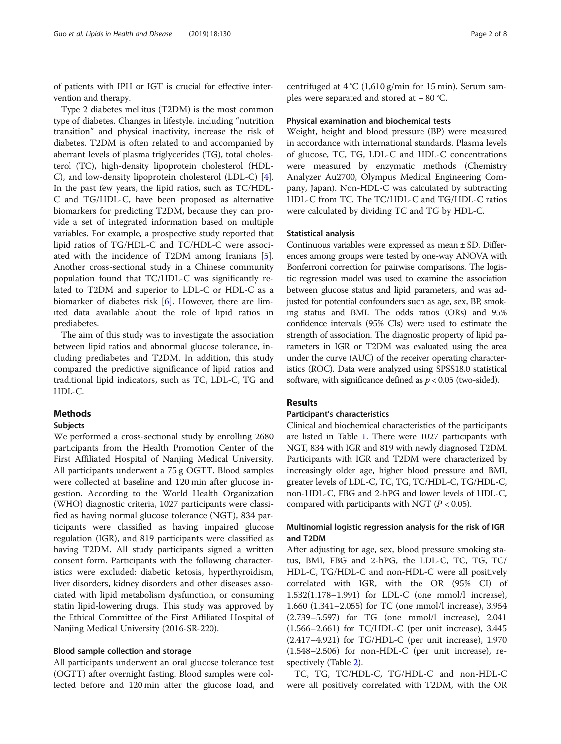of patients with IPH or IGT is crucial for effective intervention and therapy.

Type 2 diabetes mellitus (T2DM) is the most common type of diabetes. Changes in lifestyle, including "nutrition transition" and physical inactivity, increase the risk of diabetes. T2DM is often related to and accompanied by aberrant levels of plasma triglycerides (TG), total cholesterol (TC), high-density lipoprotein cholesterol (HDL-C), and low-density lipoprotein cholesterol (LDL-C) [\[4](#page-7-0)]. In the past few years, the lipid ratios, such as TC/HDL-C and TG/HDL-C, have been proposed as alternative biomarkers for predicting T2DM, because they can provide a set of integrated information based on multiple variables. For example, a prospective study reported that lipid ratios of TG/HDL-C and TC/HDL-C were associated with the incidence of T2DM among Iranians [\[5](#page-7-0)]. Another cross-sectional study in a Chinese community population found that TC/HDL-C was significantly related to T2DM and superior to LDL-C or HDL-C as a biomarker of diabetes risk [[6\]](#page-7-0). However, there are limited data available about the role of lipid ratios in prediabetes.

The aim of this study was to investigate the association between lipid ratios and abnormal glucose tolerance, including prediabetes and T2DM. In addition, this study compared the predictive significance of lipid ratios and traditional lipid indicators, such as TC, LDL-C, TG and HDL-C.

# Methods

# Subjects

We performed a cross-sectional study by enrolling 2680 participants from the Health Promotion Center of the First Affiliated Hospital of Nanjing Medical University. All participants underwent a 75 g OGTT. Blood samples were collected at baseline and 120 min after glucose ingestion. According to the World Health Organization (WHO) diagnostic criteria, 1027 participants were classified as having normal glucose tolerance (NGT), 834 participants were classified as having impaired glucose regulation (IGR), and 819 participants were classified as having T2DM. All study participants signed a written consent form. Participants with the following characteristics were excluded: diabetic ketosis, hyperthyroidism, liver disorders, kidney disorders and other diseases associated with lipid metabolism dysfunction, or consuming statin lipid-lowering drugs. This study was approved by the Ethical Committee of the First Affiliated Hospital of Nanjing Medical University (2016-SR-220).

# Blood sample collection and storage

All participants underwent an oral glucose tolerance test (OGTT) after overnight fasting. Blood samples were collected before and 120 min after the glucose load, and centrifuged at 4 °C (1,610 g/min for 15 min). Serum samples were separated and stored at − 80 °C.

# Physical examination and biochemical tests

Weight, height and blood pressure (BP) were measured in accordance with international standards. Plasma levels of glucose, TC, TG, LDL-C and HDL-C concentrations were measured by enzymatic methods (Chemistry Analyzer Au2700, Olympus Medical Engineering Company, Japan). Non-HDL-C was calculated by subtracting HDL-C from TC. The TC/HDL-C and TG/HDL-C ratios were calculated by dividing TC and TG by HDL-C.

# Statistical analysis

Continuous variables were expressed as mean ± SD. Differences among groups were tested by one-way ANOVA with Bonferroni correction for pairwise comparisons. The logistic regression model was used to examine the association between glucose status and lipid parameters, and was adjusted for potential confounders such as age, sex, BP, smoking status and BMI. The odds ratios (ORs) and 95% confidence intervals (95% CIs) were used to estimate the strength of association. The diagnostic property of lipid parameters in IGR or T2DM was evaluated using the area under the curve (AUC) of the receiver operating characteristics (ROC). Data were analyzed using SPSS18.0 statistical software, with significance defined as  $p < 0.05$  (two-sided).

# Results

# Participant's characteristics

Clinical and biochemical characteristics of the participants are listed in Table [1](#page-2-0). There were 1027 participants with NGT, 834 with IGR and 819 with newly diagnosed T2DM. Participants with IGR and T2DM were characterized by increasingly older age, higher blood pressure and BMI, greater levels of LDL-C, TC, TG, TC/HDL-C, TG/HDL-C, non-HDL-C, FBG and 2-hPG and lower levels of HDL-C, compared with participants with NGT ( $P < 0.05$ ).

# Multinomial logistic regression analysis for the risk of IGR and T2DM

After adjusting for age, sex, blood pressure smoking status, BMI, FBG and 2-hPG, the LDL-C, TC, TG, TC/ HDL-C, TG/HDL-C and non-HDL-C were all positively correlated with IGR, with the OR (95% CI) of 1.532(1.178–1.991) for LDL-C (one mmol/l increase), 1.660 (1.341–2.055) for TC (one mmol/l increase), 3.954 (2.739–5.597) for TG (one mmol/l increase), 2.041 (1.566–2.661) for TC/HDL-C (per unit increase), 3.445 (2.417–4.921) for TG/HDL-C (per unit increase), 1.970 (1.548–2.506) for non-HDL-C (per unit increase), respectively (Table [2](#page-2-0)).

TC, TG, TC/HDL-C, TG/HDL-C and non-HDL-C were all positively correlated with T2DM, with the OR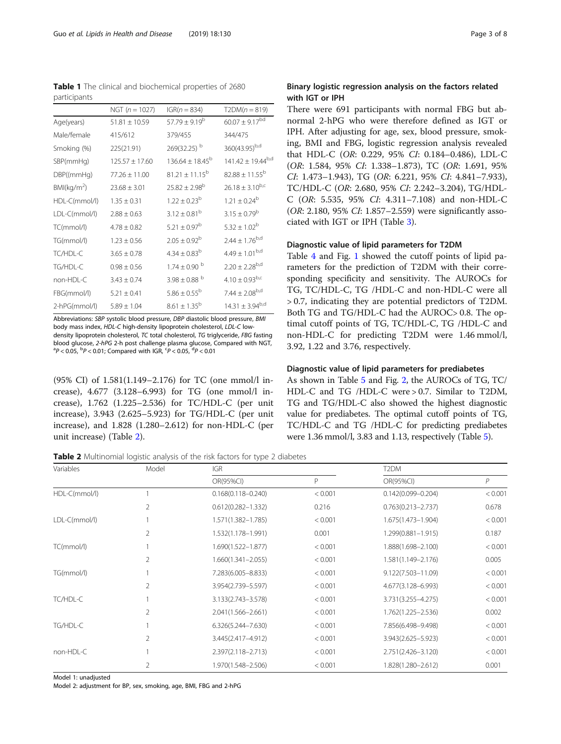Abbreviations: SBP systolic blood pressure, DBP diastolic blood pressure, BMI body mass index, HDL-C high-density lipoprotein cholesterol, LDL-C lowdensity lipoprotein cholesterol, TC total cholesterol, TG triglyceride, FBG fasting blood glucose, 2-hPG 2-h post challenge plasma glucose, Compared with NGT,  $P < 0.05$ ,  $\rm^{b}P < 0.01$ ; Compared with IGR,  $\rm^{c}P < 0.05$ ,  $\rm^{d}P < 0.01$ 

(95% CI) of 1.581(1.149–2.176) for TC (one mmol/l increase), 4.677 (3.128–6.993) for TG (one mmol/l increase), 1.762 (1.225–2.536) for TC/HDL-C (per unit increase), 3.943 (2.625–5.923) for TG/HDL-C (per unit increase), and 1.828 (1.280–2.612) for non-HDL-C (per unit increase) (Table 2).

**Table 2** Multinomial logistic analysis of the risk factors for type 2 diabetes

| Variables     | Model          | <b>IGR</b>             |         | T2DM                   |         |
|---------------|----------------|------------------------|---------|------------------------|---------|
|               |                | OR(95%CI)              | P       | OR(95%CI)              | P       |
| HDL-C(mmol/l) |                | $0.168(0.118 - 0.240)$ | < 0.001 | $0.142(0.099 - 0.204)$ | < 0.001 |
|               | 2              | $0.612(0.282 - 1.332)$ | 0.216   | $0.763(0.213 - 2.737)$ | 0.678   |
| LDL-C(mmol/l) |                | 1.571(1.382-1.785)     | < 0.001 | 1.675(1.473-1.904)     | < 0.001 |
|               | 2              | 1.532(1.178-1.991)     | 0.001   | 1.299(0.881-1.915)     | 0.187   |
| TC(mmol/l)    |                | $1.690(1.522 - 1.877)$ | < 0.001 | 1.888(1.698-2.100)     | < 0.001 |
|               | 2              | $1.660(1.341 - 2.055)$ | < 0.001 | 1.581(1.149-2.176)     | 0.005   |
| TG(mmol/l)    |                | 7.283(6.005-8.833)     | < 0.001 | 9.122(7.503-11.09)     | < 0.001 |
|               | $\overline{2}$ | 3.954(2.739-5.597)     | < 0.001 | 4.677(3.128-6.993)     | < 0.001 |
| TC/HDL-C      |                | 3.133(2.743-3.578)     | < 0.001 | 3.731(3.255-4.275)     | < 0.001 |
|               | 2              | 2.041(1.566-2.661)     | < 0.001 | 1.762(1.225-2.536)     | 0.002   |
| TG/HDL-C      |                | $6.326(5.244 - 7.630)$ | < 0.001 | 7.856(6.498-9.498)     | < 0.001 |
|               |                | 3.445(2.417-4.912)     | < 0.001 | 3.943(2.625–5.923)     | < 0.001 |

non-HDL-C 1 2.397(2.118–2.713) < 0.001 2.751(2.426–3.120) < 0.001

2 1.970(1.548–2.506) < 0.001 1.828(1.280–2.612) 0.001

# Table 1 The clinical and biochemical properties of 2680 participants

|                         | NGT $(n = 1027)$   | $IGR(n = 834)$               | $T2DM(n = 819)$          |
|-------------------------|--------------------|------------------------------|--------------------------|
| Age(years)              | $51.81 \pm 10.59$  | $57.79 \pm 9.19^{\rm b}$     | $60.07 \pm 9.17^{bd}$    |
| Male/female             | 415/612            | 379/455                      | 344/475                  |
| Smoking (%)             | 225(21.91)         | 269(32.25) b                 | 360(43.95)b,d            |
| SBP(mmHg)               | $125.57 \pm 17.60$ | $136.64 \pm 18.45^{\circ}$   | $141.42 \pm 19.44^{b,d}$ |
| DBP((mmHg)              | $77.26 \pm 11.00$  | $81.21 + 11.15^{b}$          | $82.88 \pm 11.55^b$      |
| BMl(kq/m <sup>2</sup> ) | $23.68 \pm 3.01$   | $25.82 \pm 2.98^b$           | $26.18 \pm 3.10^{b,c}$   |
| HDL-C(mmol/l)           | $1.35 \pm 0.31$    | $1.22 + 0.23^b$              | $1.21 \pm 0.24^b$        |
| LDL-C(mmol/l)           | $2.88 \pm 0.63$    | $3.12 + 0.81^{b}$            | $3.15 \pm 0.79^{\rm b}$  |
| TC(mmol/l)              | $4.78 \pm 0.82$    | $5.21 \pm 0.97^b$            | $5.32 \pm 1.02^b$        |
| TG(mmol/l)              | $1.23 \pm 0.56$    | $2.05 \pm 0.92^{\rm b}$      | $2.44 \pm 1.76^{b,d}$    |
| TC/HDL-C                | $3.65 \pm 0.78$    | $4.34 \pm 0.83^b$            | $4.49 \pm 1.01^{b,d}$    |
| TG/HDL-C                | $0.98 \pm 0.56$    | $1.74 \pm 0.90$ <sup>b</sup> | $2.20 \pm 2.28^{b,d}$    |
| non-HDL-C               | $3.43 \pm 0.74$    | $3.98 \pm 0.88$ <sup>b</sup> | $4.10 \pm 0.93^{b,c}$    |
| FBG(mmol/l)             | $5.21 \pm 0.41$    | $5.86 \pm 0.55^{\rm b}$      | $7.44 \pm 2.08^{b,d}$    |
| 2-hPG(mmol/l)           | $5.89 \pm 1.04$    | $8.61 + 1.35^{b}$            | $14.31 \pm 3.94^{b,d}$   |

<span id="page-2-0"></span>

# Binary logistic regression analysis on the factors related with IGT or IPH

There were 691 participants with normal FBG but abnormal 2-hPG who were therefore defined as IGT or IPH. After adjusting for age, sex, blood pressure, smoking, BMI and FBG, logistic regression analysis revealed that HDL-C (OR: 0.229, 95% CI: 0.184–0.486), LDL-C (OR: 1.584, 95% CI: 1.338–1.873), TC (OR: 1.691, 95% CI: 1.473–1.943), TG (OR: 6.221, 95% CI: 4.841–7.933), TC/HDL-C (OR: 2.680, 95% CI: 2.242–3.204), TG/HDL-C (OR: 5.535, 95% CI: 4.311–7.108) and non-HDL-C (OR: 2.180, 95% CI: 1.857–2.559) were significantly associated with IGT or IPH (Table [3\)](#page-3-0).

# Diagnostic value of lipid parameters for T2DM

Table [4](#page-3-0) and Fig. [1](#page-4-0) showed the cutoff points of lipid parameters for the prediction of T2DM with their corresponding specificity and sensitivity. The AUROCs for TG, TC/HDL-C, TG /HDL-C and non-HDL-C were all > 0.7, indicating they are potential predictors of T2DM. Both TG and TG/HDL-C had the AUROC> 0.8. The optimal cutoff points of TG, TC/HDL-C, TG /HDL-C and non-HDL-C for predicting T2DM were 1.46 mmol/l, 3.92, 1.22 and 3.76, respectively.

# Diagnostic value of lipid parameters for prediabetes

As shown in Table [5](#page-4-0) and Fig. [2](#page-5-0), the AUROCs of TG, TC/ HDL-C and TG /HDL-C were > 0.7. Similar to T2DM, TG and TG/HDL-C also showed the highest diagnostic value for prediabetes. The optimal cutoff points of TG, TC/HDL-C and TG /HDL-C for predicting prediabetes were 1.36 mmol/l, 3.83 and 1.13, respectively (Table [5](#page-4-0)).

Model 1: unadjusted

Model 2: adjustment for BP, sex, smoking, age, BMI, FBG and 2-hPG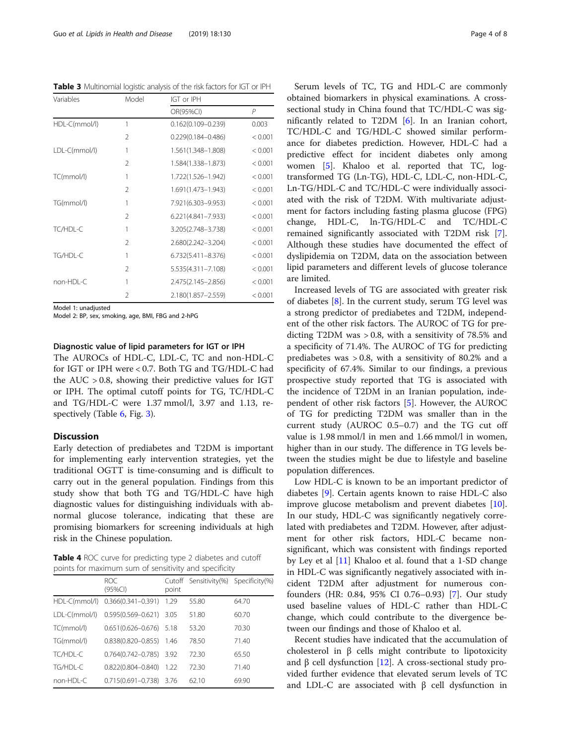<span id="page-3-0"></span>Table 3 Multinomial logistic analysis of the risk factors for IGT or IPH

| Variables     | Model          | IGT or IPH             |         |  |  |
|---------------|----------------|------------------------|---------|--|--|
|               |                | OR(95%CI)              | P       |  |  |
| HDL-C(mmol/l) | 1              | $0.162(0.109 - 0.239)$ | 0.003   |  |  |
|               | $\mathcal{L}$  | $0.229(0.184 - 0.486)$ | < 0.001 |  |  |
| LDL-C(mmol/l) | 1              | 1.561(1.348-1.808)     | < 0.001 |  |  |
|               | $\mathfrak{D}$ | 1.584(1.338-1.873)     | < 0.001 |  |  |
| TC(mmol/l)    | 1              | 1.722(1.526-1.942)     | < 0.001 |  |  |
|               | $\mathfrak{D}$ | 1.691(1.473-1.943)     | < 0.001 |  |  |
| TG(mmol/l)    | 1              | 7.921(6.303-9.953)     | < 0.001 |  |  |
|               | $\mathfrak{D}$ | 6.221(4.841-7.933)     | < 0.001 |  |  |
| TC/HDL-C      | 1              | 3.205(2.748-3.738)     | < 0.001 |  |  |
|               | $\mathfrak{D}$ | 2.680(2.242-3.204)     | < 0.001 |  |  |
| TG/HDL-C      | 1              | $6.732(5.411 - 8.376)$ | < 0.001 |  |  |
|               | 2              | 5.535(4.311-7.108)     | < 0.001 |  |  |
| non-HDL-C     | 1              | 2.475(2.145-2.856)     | < 0.001 |  |  |
|               | $\mathfrak{D}$ | 2.180(1.857-2.559)     | < 0.001 |  |  |

Model 1: unadjusted

Model 2: BP, sex, smoking, age, BMI, FBG and 2-hPG

# Diagnostic value of lipid parameters for IGT or IPH

The AUROCs of HDL-C, LDL-C, TC and non-HDL-C for IGT or IPH were < 0.7. Both TG and TG/HDL-C had the  $AUC > 0.8$ , showing their predictive values for IGT or IPH. The optimal cutoff points for TG, TC/HDL-C and TG/HDL-C were 1.37 mmol/l, 3.97 and 1.13, re-spectively (Table [6](#page-5-0), Fig. [3\)](#page-6-0).

# **Discussion**

Early detection of prediabetes and T2DM is important for implementing early intervention strategies, yet the traditional OGTT is time-consuming and is difficult to carry out in the general population. Findings from this study show that both TG and TG/HDL-C have high diagnostic values for distinguishing individuals with abnormal glucose tolerance, indicating that these are promising biomarkers for screening individuals at high risk in the Chinese population.

Table 4 ROC curve for predicting type 2 diabetes and cutoff points for maximum sum of sensitivity and specificity

|               | <b>ROC</b><br>(95%CI)       | point | Cutoff Sensitivity(%) Specificity(%) |       |
|---------------|-----------------------------|-------|--------------------------------------|-------|
| HDL-C(mmol/l) | $0.366(0.341 - 0.391)$      | 1.29  | 55.80                                | 64.70 |
| LDL-C(mmol/l) | 0.595(0.569-0.621) 3.05     |       | 51.80                                | 60.70 |
| TC(mmol/l)    | $0.651(0.626 - 0.676)$ 5.18 |       | 53.20                                | 70.30 |
| TG(mmol/l)    | 0.838(0.820-0.855) 1.46     |       | 78.50                                | 71.40 |
| TC/HDL-C      | $0.764(0.742 - 0.785)$ 3.92 |       | 72.30                                | 65.50 |
| TG/HDL-C      | $0.822(0.804 - 0.840)$      | 1.22  | 72.30                                | 71.40 |
| non-HDL-C     | $0.715(0.691 - 0.738)$      | 3.76  | 62.10                                | 69.90 |

Serum levels of TC, TG and HDL-C are commonly obtained biomarkers in physical examinations. A crosssectional study in China found that TC/HDL-C was significantly related to T2DM [[6](#page-7-0)]. In an Iranian cohort, TC/HDL-C and TG/HDL-C showed similar performance for diabetes prediction. However, HDL-C had a predictive effect for incident diabetes only among women [[5\]](#page-7-0). Khaloo et al. reported that TC, logtransformed TG (Ln-TG), HDL-C, LDL-C, non-HDL-C, Ln-TG/HDL-C and TC/HDL-C were individually associated with the risk of T2DM. With multivariate adjustment for factors including fasting plasma glucose (FPG) change, HDL-C, ln-TG/HDL-C and TC/HDL-C remained significantly associated with T2DM risk [\[7](#page-7-0)]. Although these studies have documented the effect of dyslipidemia on T2DM, data on the association between lipid parameters and different levels of glucose tolerance are limited.

Increased levels of TG are associated with greater risk of diabetes [\[8\]](#page-7-0). In the current study, serum TG level was a strong predictor of prediabetes and T2DM, independent of the other risk factors. The AUROC of TG for predicting T2DM was > 0.8, with a sensitivity of 78.5% and a specificity of 71.4%. The AUROC of TG for predicting prediabetes was > 0.8, with a sensitivity of 80.2% and a specificity of 67.4%. Similar to our findings, a previous prospective study reported that TG is associated with the incidence of T2DM in an Iranian population, independent of other risk factors [[5\]](#page-7-0). However, the AUROC of TG for predicting T2DM was smaller than in the current study (AUROC 0.5–0.7) and the TG cut off value is 1.98 mmol/l in men and 1.66 mmol/l in women, higher than in our study. The difference in TG levels between the studies might be due to lifestyle and baseline population differences.

Low HDL-C is known to be an important predictor of diabetes [[9\]](#page-7-0). Certain agents known to raise HDL-C also improve glucose metabolism and prevent diabetes [\[10](#page-7-0)]. In our study, HDL-C was significantly negatively correlated with prediabetes and T2DM. However, after adjustment for other risk factors, HDL-C became nonsignificant, which was consistent with findings reported by Ley et al [[11](#page-7-0)] Khaloo et al. found that a 1-SD change in HDL-C was significantly negatively associated with incident T2DM after adjustment for numerous confounders (HR: 0.84, 95% CI 0.76–0.93) [\[7](#page-7-0)]. Our study used baseline values of HDL-C rather than HDL-C change, which could contribute to the divergence between our findings and those of Khaloo et al.

Recent studies have indicated that the accumulation of cholesterol in β cells might contribute to lipotoxicity and β cell dysfunction [\[12](#page-7-0)]. A cross-sectional study provided further evidence that elevated serum levels of TC and LDL-C are associated with  $β$  cell dysfunction in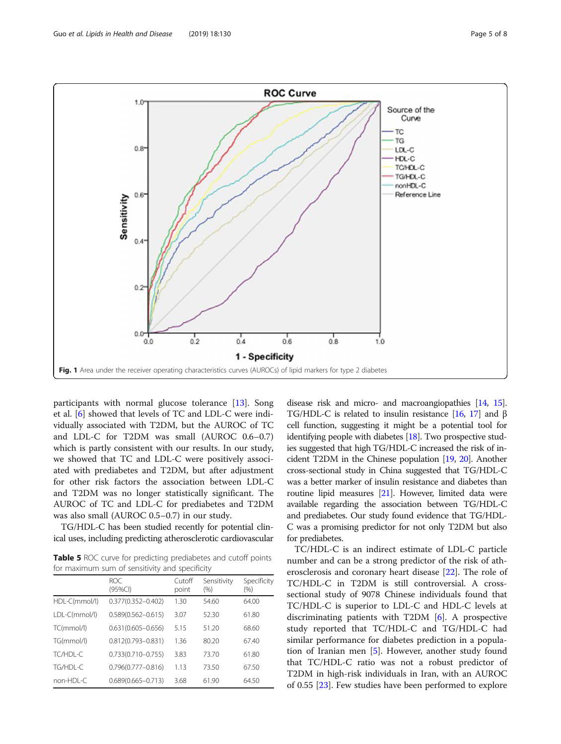<span id="page-4-0"></span>

participants with normal glucose tolerance [[13\]](#page-7-0). Song et al. [[6\]](#page-7-0) showed that levels of TC and LDL-C were individually associated with T2DM, but the AUROC of TC and LDL-C for T2DM was small (AUROC 0.6–0.7) which is partly consistent with our results. In our study, we showed that TC and LDL-C were positively associated with prediabetes and T2DM, but after adjustment for other risk factors the association between LDL-C and T2DM was no longer statistically significant. The AUROC of TC and LDL-C for prediabetes and T2DM was also small (AUROC 0.5–0.7) in our study.

TG/HDL-C has been studied recently for potential clinical uses, including predicting atherosclerotic cardiovascular

Table 5 ROC curve for predicting prediabetes and cutoff points for maximum sum of sensitivity and specificity

|               | ROC.<br>(95%CI)        | Cutoff<br>point | Sensitivity<br>(% ) | Specificity<br>$(\% )$ |
|---------------|------------------------|-----------------|---------------------|------------------------|
| HDL-C(mmol/l) | $0.377(0.352 - 0.402)$ | 1.30            | 54.60               | 64.00                  |
| LDL-C(mmol/l) | $0.589(0.562 - 0.615)$ | 3.07            | 52.30               | 61.80                  |
| TC(mmol/l)    | $0.631(0.605 - 0.656)$ | 5.15            | 51.20               | 68.60                  |
| TG(mmol/l)    | $0.812(0.793 - 0.831)$ | 1.36            | 80.20               | 67.40                  |
| TC/HDI-C      | $0.733(0.710 - 0.755)$ | 3.83            | 73.70               | 61.80                  |
| TG/HDI-C      | $0.796(0.777 - 0.816)$ | 1.13            | 73.50               | 67.50                  |
| non-HDI-C     | $0.689(0.665 - 0.713)$ | 3.68            | 61.90               | 64.50                  |

disease risk and micro- and macroangiopathies [[14](#page-7-0), [15](#page-7-0)]. TG/HDL-C is related to insulin resistance [\[16](#page-7-0), [17\]](#page-7-0) and  $\beta$ cell function, suggesting it might be a potential tool for identifying people with diabetes [[18](#page-7-0)]. Two prospective studies suggested that high TG/HDL-C increased the risk of incident T2DM in the Chinese population [\[19](#page-7-0), [20](#page-7-0)]. Another cross-sectional study in China suggested that TG/HDL-C was a better marker of insulin resistance and diabetes than routine lipid measures [\[21](#page-7-0)]. However, limited data were available regarding the association between TG/HDL-C and prediabetes. Our study found evidence that TG/HDL-C was a promising predictor for not only T2DM but also for prediabetes.

TC/HDL-C is an indirect estimate of LDL-C particle number and can be a strong predictor of the risk of atherosclerosis and coronary heart disease [\[22](#page-7-0)]. The role of TC/HDL-C in T2DM is still controversial. A crosssectional study of 9078 Chinese individuals found that TC/HDL-C is superior to LDL-C and HDL-C levels at discriminating patients with T2DM [\[6](#page-7-0)]. A prospective study reported that TC/HDL-C and TG/HDL-C had similar performance for diabetes prediction in a population of Iranian men [\[5](#page-7-0)]. However, another study found that TC/HDL-C ratio was not a robust predictor of T2DM in high-risk individuals in Iran, with an AUROC of 0.55 [[23\]](#page-7-0). Few studies have been performed to explore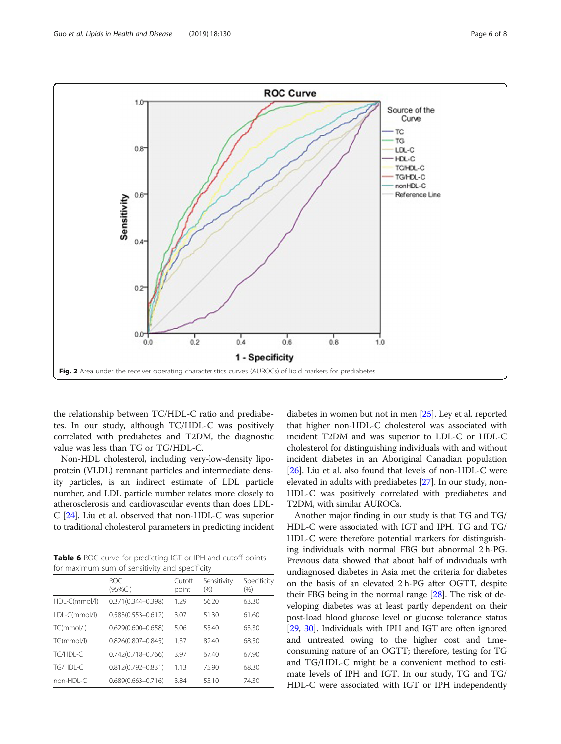<span id="page-5-0"></span>

the relationship between TC/HDL-C ratio and prediabetes. In our study, although TC/HDL-C was positively correlated with prediabetes and T2DM, the diagnostic value was less than TG or TG/HDL-C.

Non-HDL cholesterol, including very-low-density lipoprotein (VLDL) remnant particles and intermediate density particles, is an indirect estimate of LDL particle number, and LDL particle number relates more closely to atherosclerosis and cardiovascular events than does LDL-C [[24](#page-7-0)]. Liu et al. observed that non-HDL-C was superior to traditional cholesterol parameters in predicting incident

Table 6 ROC curve for predicting IGT or IPH and cutoff points for maximum sum of sensitivity and specificity

|               | ROC.<br>$(95\%CI)$     | Cutoff<br>point | Sensitivity<br>(% ) | Specificity<br>$(\% )$ |
|---------------|------------------------|-----------------|---------------------|------------------------|
| HDL-C(mmol/l) | $0.371(0.344 - 0.398)$ | 1.29            | 56.20               | 63.30                  |
| LDL-C(mmol/l) | $0.583(0.553 - 0.612)$ | 3.07            | 51.30               | 61.60                  |
| TC(mmol/l)    | $0.629(0.600 - 0.658)$ | 5.06            | 55.40               | 63.30                  |
| TG(mmol/l)    | $0.826(0.807 - 0.845)$ | 1.37            | 82.40               | 68.50                  |
| TC/HDI-C      | $0.742(0.718 - 0.766)$ | 3.97            | 67.40               | 67.90                  |
| TG/HDL-C      | $0.812(0.792 - 0.831)$ | 1.13            | 75.90               | 68.30                  |
| non-HDI-C     | $0.689(0.663 - 0.716)$ | 3.84            | 55.10               | 74.30                  |

diabetes in women but not in men [[25](#page-7-0)]. Ley et al. reported that higher non-HDL-C cholesterol was associated with incident T2DM and was superior to LDL-C or HDL-C cholesterol for distinguishing individuals with and without incident diabetes in an Aboriginal Canadian population [[26](#page-7-0)]. Liu et al. also found that levels of non-HDL-C were elevated in adults with prediabetes [\[27\]](#page-7-0). In our study, non-HDL-C was positively correlated with prediabetes and T2DM, with similar AUROCs.

Another major finding in our study is that TG and TG/ HDL-C were associated with IGT and IPH. TG and TG/ HDL-C were therefore potential markers for distinguishing individuals with normal FBG but abnormal 2 h-PG. Previous data showed that about half of individuals with undiagnosed diabetes in Asia met the criteria for diabetes on the basis of an elevated 2 h-PG after OGTT, despite their FBG being in the normal range [[28](#page-7-0)]. The risk of developing diabetes was at least partly dependent on their post-load blood glucose level or glucose tolerance status [[29](#page-7-0), [30\]](#page-7-0). Individuals with IPH and IGT are often ignored and untreated owing to the higher cost and timeconsuming nature of an OGTT; therefore, testing for TG and TG/HDL-C might be a convenient method to estimate levels of IPH and IGT. In our study, TG and TG/ HDL-C were associated with IGT or IPH independently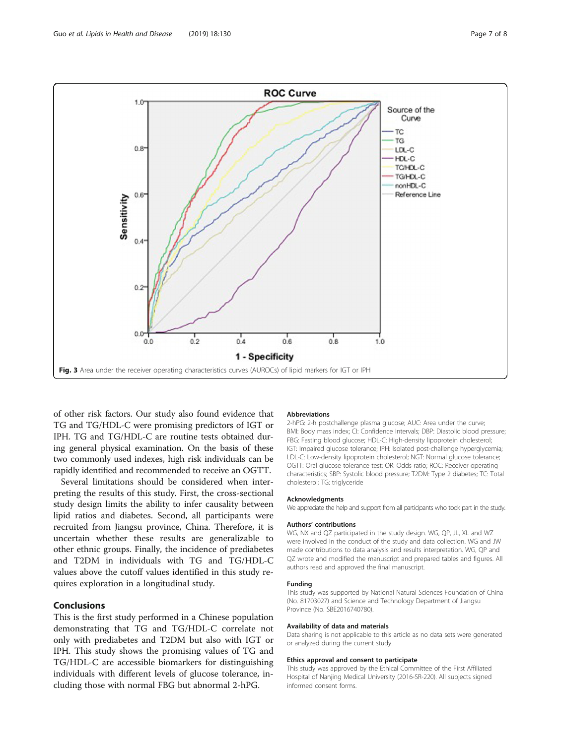<span id="page-6-0"></span>

of other risk factors. Our study also found evidence that TG and TG/HDL-C were promising predictors of IGT or IPH. TG and TG/HDL-C are routine tests obtained during general physical examination. On the basis of these two commonly used indexes, high risk individuals can be rapidly identified and recommended to receive an OGTT.

Several limitations should be considered when interpreting the results of this study. First, the cross-sectional study design limits the ability to infer causality between lipid ratios and diabetes. Second, all participants were recruited from Jiangsu province, China. Therefore, it is uncertain whether these results are generalizable to other ethnic groups. Finally, the incidence of prediabetes and T2DM in individuals with TG and TG/HDL-C values above the cutoff values identified in this study requires exploration in a longitudinal study.

# Conclusions

This is the first study performed in a Chinese population demonstrating that TG and TG/HDL-C correlate not only with prediabetes and T2DM but also with IGT or IPH. This study shows the promising values of TG and TG/HDL-C are accessible biomarkers for distinguishing individuals with different levels of glucose tolerance, including those with normal FBG but abnormal 2-hPG.

# Abbreviations

2-hPG: 2-h postchallenge plasma glucose; AUC: Area under the curve; BMI: Body mass index; CI: Confidence intervals; DBP: Diastolic blood pressure; FBG: Fasting blood glucose; HDL-C: High-density lipoprotein cholesterol; IGT: Impaired glucose tolerance; IPH: Isolated post-challenge hyperglycemia; LDL-C: Low-density lipoprotein cholesterol; NGT: Normal glucose tolerance; OGTT: Oral glucose tolerance test; OR: Odds ratio; ROC: Receiver operating characteristics; SBP: Systolic blood pressure; T2DM: Type 2 diabetes; TC: Total cholesterol; TG: triglyceride

### Acknowledgments

We appreciate the help and support from all participants who took part in the study.

#### Authors' contributions

WG, NX and QZ participated in the study design. WG, QP, JL, XL and WZ were involved in the conduct of the study and data collection. WG and JW made contributions to data analysis and results interpretation. WG, QP and QZ wrote and modified the manuscript and prepared tables and figures. All authors read and approved the final manuscript.

# Funding

This study was supported by National Natural Sciences Foundation of China (No. 81703027) and Science and Technology Department of Jiangsu Province (No. SBE2016740780).

#### Availability of data and materials

Data sharing is not applicable to this article as no data sets were generated or analyzed during the current study.

#### Ethics approval and consent to participate

This study was approved by the Ethical Committee of the First Affiliated Hospital of Nanjing Medical University (2016-SR-220). All subjects signed informed consent forms.